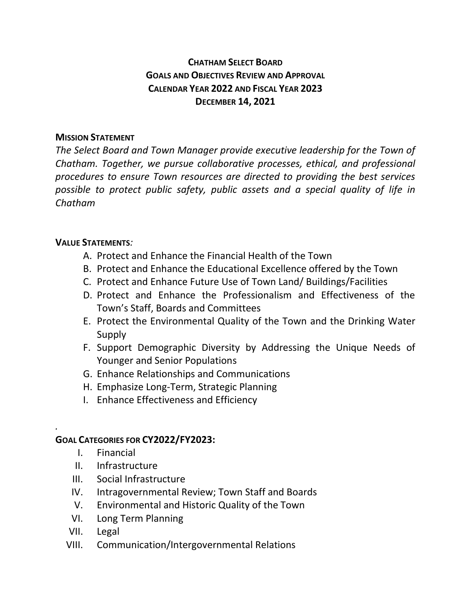# **CHATHAM SELECT BOARD GOALS AND OBJECTIVES REVIEW AND APPROVAL CALENDAR YEAR 2022 AND FISCAL YEAR 2023 DECEMBER 14, 2021**

#### **MISSION STATEMENT**

*The Select Board and Town Manager provide executive leadership for the Town of Chatham. Together, we pursue collaborative processes, ethical, and professional procedures to ensure Town resources are directed to providing the best services possible to protect public safety, public assets and a special quality of life in Chatham*

### **VALUE STATEMENTS***:*

- A. Protect and Enhance the Financial Health of the Town
- B. Protect and Enhance the Educational Excellence offered by the Town
- C. Protect and Enhance Future Use of Town Land/ Buildings/Facilities
- D. Protect and Enhance the Professionalism and Effectiveness of the Town's Staff, Boards and Committees
- E. Protect the Environmental Quality of the Town and the Drinking Water Supply
- F. Support Demographic Diversity by Addressing the Unique Needs of Younger and Senior Populations
- G. Enhance Relationships and Communications
- H. Emphasize Long-Term, Strategic Planning
- I. Enhance Effectiveness and Efficiency

### **GOAL CATEGORIES FOR CY2022/FY2023:**

I. Financial

*.* 

- II. Infrastructure
- III. Social Infrastructure
- IV. Intragovernmental Review; Town Staff and Boards
- V. Environmental and Historic Quality of the Town
- VI. Long Term Planning
- VII. Legal
- VIII. Communication/Intergovernmental Relations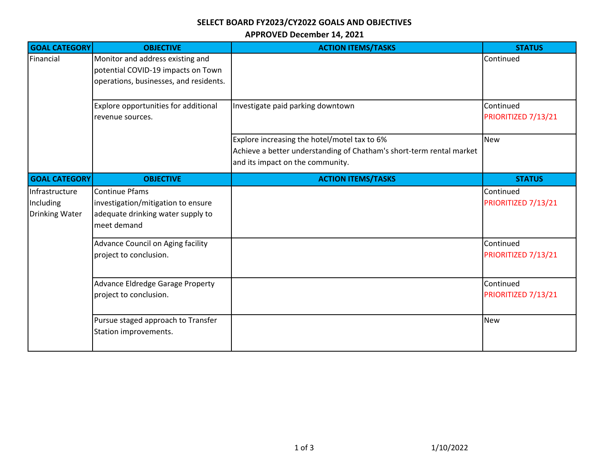#### **SELECT BOARD FY2023/CY2022 GOALS AND OBJECTIVES**

# **APPROVED December 14, 2021**

| <b>GOAL CATEGORY</b>                                 | <b>OBJECTIVE</b>                                                                                                 | <b>ACTION ITEMS/TASKS</b>                                                                                                                                | <b>STATUS</b>                    |
|------------------------------------------------------|------------------------------------------------------------------------------------------------------------------|----------------------------------------------------------------------------------------------------------------------------------------------------------|----------------------------------|
| Financial                                            | Monitor and address existing and<br>potential COVID-19 impacts on Town<br>operations, businesses, and residents. |                                                                                                                                                          | Continued                        |
|                                                      | Explore opportunities for additional<br>revenue sources.                                                         | Investigate paid parking downtown                                                                                                                        | Continued<br>PRIORITIZED 7/13/21 |
|                                                      |                                                                                                                  | Explore increasing the hotel/motel tax to 6%<br>Achieve a better understanding of Chatham's short-term rental market<br>and its impact on the community. | <b>New</b>                       |
| <b>GOAL CATEGORY</b>                                 | <b>OBJECTIVE</b>                                                                                                 | <b>ACTION ITEMS/TASKS</b>                                                                                                                                | <b>STATUS</b>                    |
| Infrastructure<br>Including<br><b>Drinking Water</b> | <b>Continue Pfams</b><br>investigation/mitigation to ensure<br>adequate drinking water supply to<br>meet demand  |                                                                                                                                                          | Continued<br>PRIORITIZED 7/13/21 |
|                                                      | Advance Council on Aging facility<br>project to conclusion.                                                      |                                                                                                                                                          | Continued<br>PRIORITIZED 7/13/21 |
|                                                      | Advance Eldredge Garage Property<br>project to conclusion.                                                       |                                                                                                                                                          | Continued<br>PRIORITIZED 7/13/21 |
|                                                      | Pursue staged approach to Transfer<br>Station improvements.                                                      |                                                                                                                                                          | <b>New</b>                       |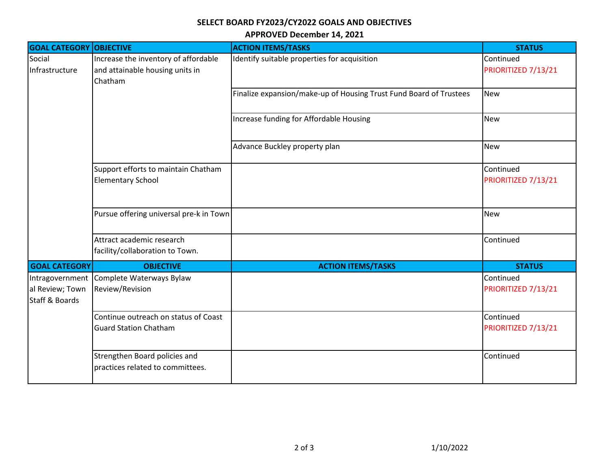#### **SELECT BOARD FY2023/CY2022 GOALS AND OBJECTIVES**

# **APPROVED December 14, 2021**

| <b>GOAL CATEGORY</b>      | <b>OBJECTIVE</b>                        | <b>ACTION ITEMS/TASKS</b>                                          | <b>STATUS</b>       |
|---------------------------|-----------------------------------------|--------------------------------------------------------------------|---------------------|
| Social                    | Increase the inventory of affordable    | Identify suitable properties for acquisition                       | Continued           |
| Infrastructure            | and attainable housing units in         |                                                                    | PRIORITIZED 7/13/21 |
|                           | Chatham                                 |                                                                    |                     |
|                           |                                         | Finalize expansion/make-up of Housing Trust Fund Board of Trustees | <b>New</b>          |
|                           |                                         |                                                                    |                     |
|                           |                                         | Increase funding for Affordable Housing                            | <b>New</b>          |
|                           |                                         |                                                                    |                     |
|                           |                                         | Advance Buckley property plan                                      | <b>New</b>          |
|                           |                                         |                                                                    |                     |
|                           | Support efforts to maintain Chatham     |                                                                    | Continued           |
|                           | <b>Elementary School</b>                |                                                                    | PRIORITIZED 7/13/21 |
|                           |                                         |                                                                    |                     |
|                           |                                         |                                                                    |                     |
|                           | Pursue offering universal pre-k in Town |                                                                    | <b>New</b>          |
|                           |                                         |                                                                    |                     |
|                           | Attract academic research               |                                                                    | Continued           |
|                           | facility/collaboration to Town.         |                                                                    |                     |
| <b>GOAL CATEGORY</b>      | <b>OBJECTIVE</b>                        | <b>ACTION ITEMS/TASKS</b>                                          | <b>STATUS</b>       |
| Intragovernment           | Complete Waterways Bylaw                |                                                                    | Continued           |
| al Review; Town           | Review/Revision                         |                                                                    | PRIORITIZED 7/13/21 |
| <b>Staff &amp; Boards</b> |                                         |                                                                    |                     |
|                           | Continue outreach on status of Coast    |                                                                    | Continued           |
|                           | <b>Guard Station Chatham</b>            |                                                                    | PRIORITIZED 7/13/21 |
|                           |                                         |                                                                    |                     |
|                           | Strengthen Board policies and           |                                                                    | Continued           |
|                           | practices related to committees.        |                                                                    |                     |
|                           |                                         |                                                                    |                     |